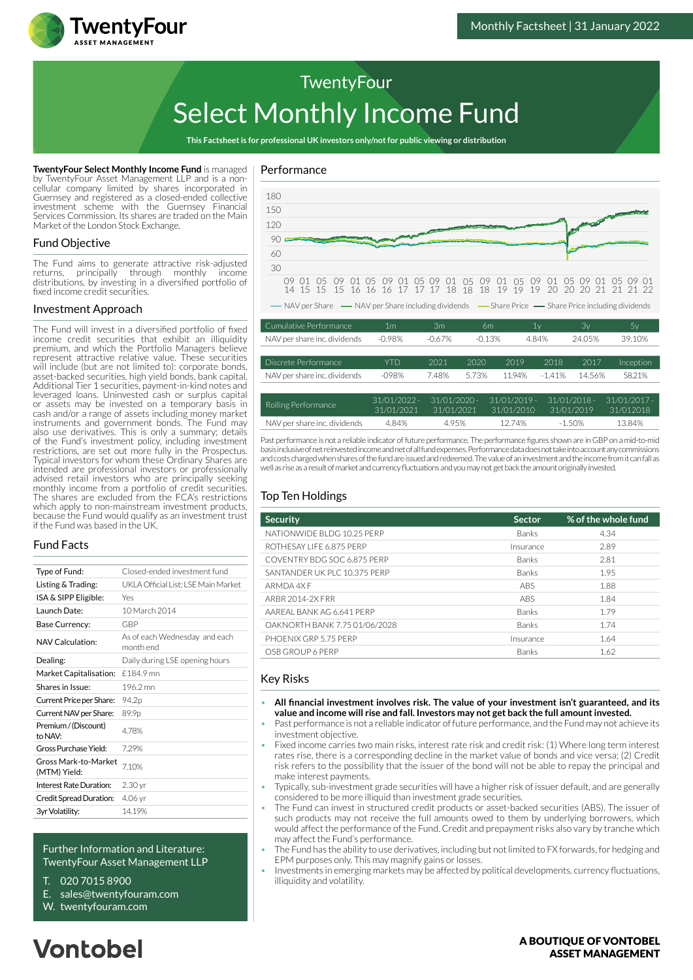

# Select Monthly Income Fund

**This Factsheet is for professional UK investors only/not for public viewing or distribution**

**TwentyFour Select Monthly Income Fund** is managed by TwentyFour Asset Management LLP and is a noncellular company limited by shares incorporated in Guernsey and registered as a closed-ended collective investment scheme with the Guernsey Financial Services Commission. Its shares are traded on the Main Market of the London Stock Exchange.

TwentyFour

#### Fund Objective

The Fund aims to generate attractive risk-adjusted returns, principally through monthly income distributions, by investing in a diversified portfolio of fixed income credit securities.

#### Investment Approach

The Fund will invest in a diversified portfolio of fixed income credit securities that exhibit an illiquidity premium, and which the Portfolio Managers believe represent attractive relative value. These securities will include (but are not limited to): corporate bonds, asset-backed securities, high yield bonds, bank capital, Additional Tier 1 securities, payment-in-kind notes and leveraged loans. Uninvested cash or surplus capital or assets may be invested on a temporary basis in cash and/or a range of assets including money market instruments and government bonds. The Fund may also use derivatives. This is only a summary; details of the Fund's investment policy, including investment restrictions, are set out more fully in the Prospectus. Typical investors for whom these Ordinary Shares are intended are professional investors or professionally advised retail investors who are principally seeking monthly income from a portfolio of credit securities. The shares are excluded from the FCA's restrictions which apply to non-mainstream investment products. because the Fund would qualify as an investment trust if the Fund was based in the UK.

#### Fund Facts

| Type of Fund:                        | Closed-ended investment fund               |  |  |
|--------------------------------------|--------------------------------------------|--|--|
| Listing & Trading:                   | UKLA Official List: LSE Main Market        |  |  |
| ISA & SIPP Eligible:                 | Yes                                        |  |  |
| Launch Date:                         | 10 March 2014                              |  |  |
| Base Currency:                       | GBP                                        |  |  |
| NAV Calculation:                     | As of each Wednesday and each<br>month end |  |  |
| Dealing:                             | Daily during LSE opening hours             |  |  |
| Market Capitalisation:               | £184.9 mn                                  |  |  |
| Shares in Issue:                     | 196.2 mn                                   |  |  |
| Current Price per Share:             | 94.2p                                      |  |  |
| Current NAV per Share:               | 89.9p                                      |  |  |
| Premium / (Discount)<br>to NAV:      | 478%                                       |  |  |
| Gross Purchase Yield:                | 729%                                       |  |  |
| Gross Mark-to-Market<br>(MTM) Yield: | 710%                                       |  |  |
| Interest Rate Duration:              | 2.30 <sub>yr</sub>                         |  |  |
| Credit Spread Duration:              | 4.06 yr                                    |  |  |
| 3yr Volatility:                      | 1419%                                      |  |  |
|                                      |                                            |  |  |

#### Further Information and Literature: TwentyFour Asset Management LLP

- T. 020 7015 8900
- E. sales@twentyfouram.com
- W. [twentyfouram.com](http://www.twentyfouram.com)

## **Vontobel**

#### Performance



Past performance is not a reliable indicator of future performance. The performance figures shown are in GBP on a mid-to-mid basis inclusive of net reinvested income and net of all fund expenses. Performance data does not take into account any commissions and costs charged when shares of the fund are issued and redeemed. The value of an investment and the income from it can fall as NAV per share inc. dividends 4.84% 4.95% 12.74% -1.50% 13.84%

31/01/2010

31/01/2019

31/012018

31/01/2021

well as rise as a result of market and currency fluctuations and you may not get back the amount originally invested.

31/01/2021

#### Top Ten Holdings

| <b>Security</b>               | <b>Sector</b> | % of the whole fund |
|-------------------------------|---------------|---------------------|
| NATIONWIDE BLDG 10.25 PERP    | <b>Banks</b>  | 4.34                |
| ROTHESAY LIFE 6.875 PERP      | Insurance     | 2.89                |
| COVENTRY BDG SOC 6.875 PERP   | <b>Banks</b>  | 2.81                |
| SANTANDER UK PLC 10.375 PERP  | <b>Banks</b>  | 1.95                |
| ARMDA 4X F                    | <b>ABS</b>    | 1.88                |
| ARRR 2014-2X FRR              | ABS           | 1.84                |
| AARFAL BANK AG 6.641 PERP     | <b>Banks</b>  | 1.79                |
| OAKNORTH BANK 7.75 01/06/2028 | Banks         | 1.74                |
| PHOFNIX GRP 5.75 PFRP         | Insurance     | 1.64                |
| OSB GROUP 6 PERP              | <b>Banks</b>  | 1.62                |

#### Key Risks

- **All financial investment involves risk. The value of your investment isn't guaranteed, and its value and income will rise and fall. Investors may not get back the full amount invested.**
- Past performance is not a reliable indicator of future performance, and the Fund may not achieve its investment objective.
- Fixed income carries two main risks, interest rate risk and credit risk: (1) Where long term interest rates rise, there is a corresponding decline in the market value of bonds and vice versa; (2) Credit risk refers to the possibility that the issuer of the bond will not be able to repay the principal and make interest payments.
- Typically, sub-investment grade securities will have a higher risk of issuer default, and are generally considered to be more illiquid than investment grade securities.
- The Fund can invest in structured credit products or asset-backed securities (ABS). The issuer of such products may not receive the full amounts owed to them by underlying borrowers, which would affect the performance of the Fund. Credit and prepayment risks also vary by tranche which may affect the Fund's performance.
- The Fund has the ability to use derivatives, including but not limited to FX forwards, for hedging and EPM purposes only. This may magnify gains or losses.
- Investments in emerging markets may be affected by political developments, currency fluctuations, illiquidity and volatility.